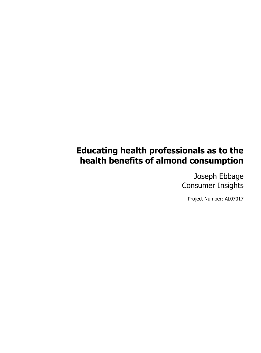## **Educating health professionals as to the health benefits of almond consumption**

Joseph Ebbage Consumer Insights

Project Number: AL07017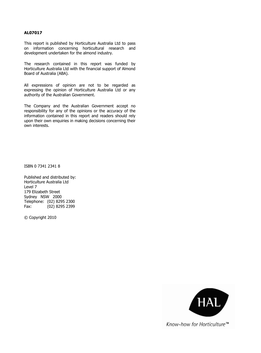#### **AL07017**

This report is published by Horticulture Australia Ltd to pass on information concerning horticultural research and development undertaken for the almond industry.

The research contained in this report was funded by Horticulture Australia Ltd with the financial support of Almond Board of Australia (ABA).

All expressions of opinion are not to be regarded as expressing the opinion of Horticulture Australia Ltd or any authority of the Australian Government.

The Company and the Australian Government accept no responsibility for any of the opinions or the accuracy of the information contained in this report and readers should rely upon their own enquiries in making decisions concerning their own interests.

ISBN 0 7341 2341 8

Published and distributed by: Horticulture Australia Ltd Level 7 179 Elizabeth Street Sydney NSW 2000 Telephone: (02) 8295 2300 Fax: (02) 8295 2399

© Copyright 2010



Know-how for Horticulture™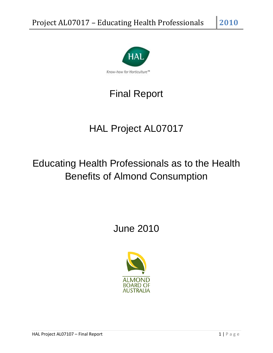

# Final Report

# HAL Project AL07017

# Educating Health Professionals as to the Health Benefits of Almond Consumption

## June 2010

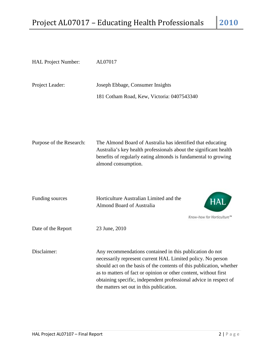| HAL Project Number:      | AL07017                                                                                                                                                                                                                                                                                                                                                                              |
|--------------------------|--------------------------------------------------------------------------------------------------------------------------------------------------------------------------------------------------------------------------------------------------------------------------------------------------------------------------------------------------------------------------------------|
| Project Leader:          | Joseph Ebbage, Consumer Insights<br>181 Cotham Road, Kew, Victoria: 0407543340                                                                                                                                                                                                                                                                                                       |
| Purpose of the Research: | The Almond Board of Australia has identified that educating<br>Australia's key health professionals about the significant health<br>benefits of regularly eating almonds is fundamental to growing<br>almond consumption.                                                                                                                                                            |
| Funding sources          | Horticulture Australian Limited and the<br><b>Almond Board of Australia</b><br>Know-how for Horticulture                                                                                                                                                                                                                                                                             |
| Date of the Report       | 23 June, 2010                                                                                                                                                                                                                                                                                                                                                                        |
| Disclaimer:              | Any recommendations contained in this publication do not<br>necessarily represent current HAL Limited policy. No person<br>should act on the basis of the contents of this publication, whether<br>as to matters of fact or opinion or other content, without first<br>obtaining specific, independent professional advice in respect of<br>the matters set out in this publication. |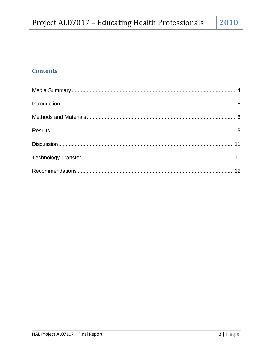## **Contents**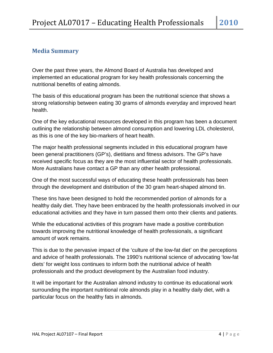## <span id="page-5-0"></span>**Media Summary**

Over the past three years, the Almond Board of Australia has developed and implemented an educational program for key health professionals concerning the nutritional benefits of eating almonds.

The basis of this educational program has been the nutritional science that shows a strong relationship between eating 30 grams of almonds everyday and improved heart health.

One of the key educational resources developed in this program has been a document outlining the relationship between almond consumption and lowering LDL cholesterol, as this is one of the key bio-markers of heart health.

The major health professional segments included in this educational program have been general practitioners (GP's), dietitians and fitness advisors. The GP's have received specific focus as they are the most influential sector of health professionals. More Australians have contact a GP than any other health professional.

One of the most successful ways of educating these health professionals has been through the development and distribution of the 30 gram heart-shaped almond tin.

These tins have been designed to hold the recommended portion of almonds for a healthy daily diet. They have been embraced by the health professionals involved in our educational activities and they have in turn passed them onto their clients and patients.

While the educational activities of this program have made a positive contribution towards improving the nutritional knowledge of health professionals, a significant amount of work remains.

This is due to the pervasive impact of the 'culture of the low-fat diet' on the perceptions and advice of health professionals. The 1990's nutritional science of advocating 'low-fat diets' for weight loss continues to inform both the nutritional advice of health professionals and the product development by the Australian food industry.

It will be important for the Australian almond industry to continue its educational work surrounding the important nutritional role almonds play in a healthy daily diet, with a particular focus on the healthy fats in almonds.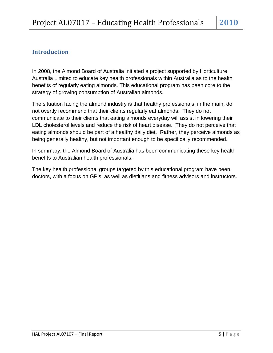## <span id="page-6-0"></span>**Introduction**

In 2008, the Almond Board of Australia initiated a project supported by Horticulture Australia Limited to educate key health professionals within Australia as to the health benefits of regularly eating almonds. This educational program has been core to the strategy of growing consumption of Australian almonds.

The situation facing the almond industry is that healthy professionals, in the main, do not overtly recommend that their clients regularly eat almonds. They do not communicate to their clients that eating almonds everyday will assist in lowering their LDL cholesterol levels and reduce the risk of heart disease. They do not perceive that eating almonds should be part of a healthy daily diet. Rather, they perceive almonds as being generally healthy, but not important enough to be specifically recommended.

In summary, the Almond Board of Australia has been communicating these key health benefits to Australian health professionals.

The key health professional groups targeted by this educational program have been doctors, with a focus on GP's, as well as dietitians and fitness advisors and instructors.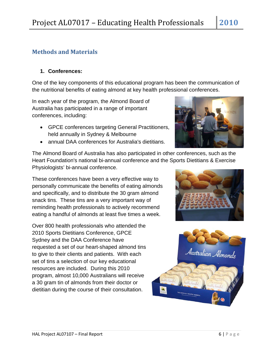## <span id="page-7-0"></span>**Methods and Materials**

### **1. Conferences:**

One of the key components of this educational program has been the communication of the nutritional benefits of eating almond at key health professional conferences.

In each year of the program, the Almond Board of Australia has participated in a range of important conferences, including:

- GPCE conferences targeting General Practitioners, held annually in Sydney & Melbourne
- annual DAA conferences for Australia's dietitians.



The Almond Board of Australia has also participated in other conferences, such as the Heart Foundation's national bi-annual conference and the Sports Dietitians & Exercise Physiologists' bi-annual conference.

These conferences have been a very effective way to personally communicate the benefits of eating almonds and specifically, and to distribute the 30 gram almond snack tins. These tins are a very important way of reminding health professionals to actively recommend eating a handful of almonds at least five times a week.

Over 800 health professionals who attended the 2010 Sports Dietitians Conference, GPCE Sydney and the DAA Conference have requested a set of our heart-shaped almond tins to give to their clients and patients. With each set of tins a selection of our key educational resources are included. During this 2010 program, almost 10,000 Australians will receive a 30 gram tin of almonds from their doctor or dietitian during the course of their consultation.



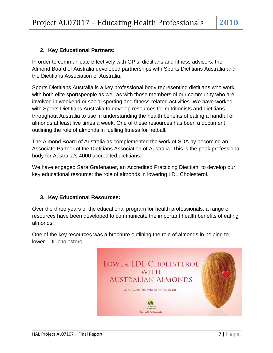### **2. Key Educational Partners:**

In order to communicate effectively with GP's, dietitians and fitness advisors, the Almond Board of Australia developed partnerships with Sports Dietitians Australia and the Dietitians Association of Australia.

Sports Dietitians Australia is a key professional body representing dietitians who work with both elite sportspeople as well as with those members of our community who are involved in weekend or social sporting and fitness-related activities. We have worked with Sports Dietitians Australia to develop resources for nutritionists and dietitians throughout Australia to use in understanding the health benefits of eating a handful of almonds at least five times a week. One of these resources has been a document outlining the role of almonds in fuelling fitness for netball.

The Almond Board of Australia as complemented the work of SDA by becoming an Associate Partner of the Dietitians Association of Australia. This is the peak professional body for Australia's 4000 accredited dietitians.

We have engaged Sara Grafenauer, an Accredited Practicing Dietitian, to develop our key educational resource: the role of almonds in lowering LDL Cholesterol.

#### **3. Key Educational Resources:**

Over the three years of the educational program for health professionals, a range of resources have been developed to communicate the important health benefits of eating almonds.

One of the key resources was a brochure outlining the role of almonds in helping to lower LDL cholesterol.

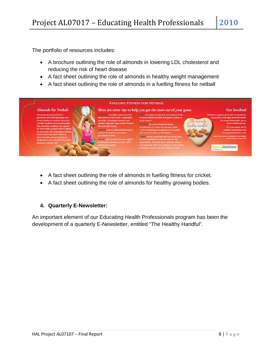The portfolio of resources includes:

- A brochure outlining the role of almonds in lowering LDL cholesterol and reducing the risk of heart disease
- A fact sheet outlining the role of almonds in healthy weight management
- A fact sheet outlining the role of almonds in a fuelling fitness for netball



- A fact sheet outlining the role of almonds in fuelling fitness for cricket.
- A fact sheet outlining the role of almonds for healthy growing bodies.

### **4. Quarterly E-Newsletter:**

An important element of our Educating Health Professionals program has been the development of a quarterly E-Newsletter, entitled "The Healthy Handful".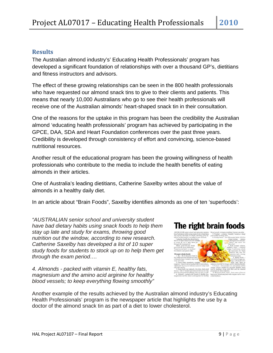## <span id="page-10-0"></span>**Results**

The Australian almond industry's' Educating Health Professionals' program has developed a significant foundation of relationships with over a thousand GP's, dietitians and fitness instructors and advisors.

The effect of these growing relationships can be seen in the 800 health professionals who have requested our almond snack tins to give to their clients and patients. This means that nearly 10,000 Australians who go to see their health professionals will receive one of the Australian almonds' heart-shaped snack tin in their consultation.

One of the reasons for the uptake in this program has been the credibility the Australian almond 'educating health professionals' program has achieved by participating in the GPCE, DAA, SDA and Heart Foundation conferences over the past three years. Credibility is developed through consistency of effort and convincing, science-based nutritional resources.

Another result of the educational program has been the growing willingness of health professionals who contribute to the media to include the health benefits of eating almonds in their articles.

One of Australia's leading dietitians, Catherine Saxelby writes about the value of almonds in a healthy daily diet.

In an article about "Brain Foods", Saxelby identifies almonds as one of ten 'superfoods':

*"AUSTRALIAN senior school and university student have bad dietary habits using snack foods to help them stay up late and study for exams, throwing good nutrition out the window, according to new research. Catherine Saxelby has developed a list of 10 super study foods for students to stock up on to help them get through the exam period….*

*4. Almonds - packed with vitamin E, healthy fats, magnesium and the amino acid arginine for healthy blood vessels; to keep everything flowing smoothly"*





Another example of the results achieved by the Australian almond industry's Educating Health Professionals' program is the newspaper article that highlights the use by a doctor of the almond snack tin as part of a diet to lower cholesterol.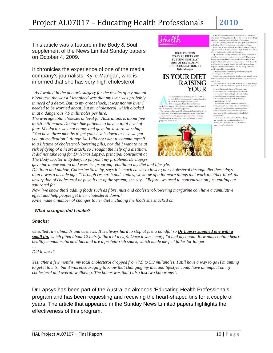## Project AL07017 – Educating Health Professionals **2010**

This article was a feature in the Body & Soul supplement of the News Limited Sunday papers on October 4, 2009.

It chronicles the experience of one of the media company's journalists, Kylie Mangan, who is informed that she has very high cholesterol.

*"As I waited in the doctor's surgery for the results of my annual blood test, the worst I imagined was that my liver was probably in need of a detox. But, to my great shock, it was not my liver I needed to be worried about, but my cholesterol, which clocked in at a dangerous 7.9 millirnoles per litre.*

*The average total cholesterol level for Australians is about five to 5.5 millimoles. Doctors like patients to have a total level of four. My doctor was not happy and gave inc a stern warning:* 

*"You have three months to get your levels down or else we put you on medication:" At age 34, I did not want to commit myself to a lifetime of cholesterol-lowering pills, nor did I want to be at risk of dying of a heart attack, so I sought the help of a dietitian. It did not take long for Dr Naras Lapsys, principal consultant at The Body Doctor in Sydney, to pinpoint my problems. Dr Lapsys gave inc a new eating and exercise program, rebuilding my diet and lifestyle.* 



HIGH-PROTEIN, NO-CARB DIETS ARE PUTTING PEOPLE AT **RISK OF DEVELOPING** HIGH CHOLESTEROL. BY Kylie Mangan.



 $\begin{tabular}{|c|c|} \hline & s1 wide dot of the doctor's surgery for the results of  
my annual blood test, the week 1 imaging used that  
only River was probably in need of a clock.  
But, to my great shock, it was not my liver 1  
needed to he worried about, but my cholesterol, which colored  
of$  $\mathfrak{m}$  at a dangerous 7.9 millimoles per litre. The average total cholesterol level for Australians is about five to: The average testa crossocion level for constraints to a<br>several distribution of 5 millimoles. Doctors like patients to have a total level of four<br>My doctor was not happy and gave me a stern warning:<br>"You have three months put you on medication."



At age 34,1 did not want to commit myself to a listime of choles<br>kerol-lowering pills, nor did 1 want to be at risk of dying of a heart stude,<br>so I sought the help of a delition. It is that mat take long for<br> $D$  is New fo

My hands was a healthy tunn salial, but by the affection<br>on 18 absolutions are absolute that by the affections in the salisfied<br>transformation of the standard bulk of different and smaller transformation<br>from the standard

In two set to either shock the absorption of colocits<br>and the same model to concentrate can just continue that the same state<br>and fall to concentrate can just catting out saturated fat. Note (section<br>with all shalling (ou

nuts each day.<br>"IS not just about fats alone. All these things<br>as his more if from a radiin at and do must as the just about last through the third that the cholesterol<br>and the product to find that the cholesterol<br>comes down," says Saxelby,

*Dietitian and author, Catherine Saxelby, says it is much easier to lower your cholesterol through diet these days than it was a decade ago. "Through research and studies, we know of a lot more things that work to either block the absorption of cholesterol or push it out of the system; she says. "Before, we used to concentrate on just cutting out saturated fat.*

*Now [we know that] adding foods such as fibre, nuts and cholesterol-lowering margarine can have a cumulative effect and help people get their cholesterol down:"*

*Kylie made a number of changes to her diet including the foods she snacked on.*

#### *"What changes did I make?*

#### *Snacks:*

*Unsalted raw almonds and cashews. It is always hard to stop at just a handful so Dr Lapsys supplied one with a small tin, which fitted about 12 nuts (a third of a cup). Once it was empty, I'd had my quota. Raw nuts contain hearthealthy monounsaturated fats and are a protein-rich snack, which made me feel fuller for longer*

*… Did it work?*

*Yes, after a few months, my total cholesterol dropped from 7.9 to 5.9 millunoles. I still have a way to go (I'm aiming to get it to 5.5), but it was encouraging to know that changing my diet and lifestyle could have an impact on my cholesterol and overall wellbeing. The bonus was that I also lost two kilograms".*

Dr Lapsys has been part of the Australian almonds 'Educating Health Professionals' program and has been requesting and receiving the heart-shaped tins for a couple of years. The article that appeared in the Sunday News Limited papers highlights the effectiveness of this program.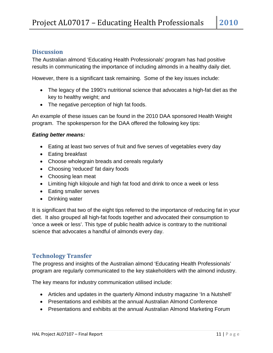### <span id="page-12-0"></span>**Discussion**

The Australian almond 'Educating Health Professionals' program has had positive results in communicating the importance of including almonds in a healthy daily diet.

However, there is a significant task remaining. Some of the key issues include:

- The legacy of the 1990's nutritional science that advocates a high-fat diet as the key to healthy weight; and
- The negative perception of high fat foods.

An example of these issues can be found in the 2010 DAA sponsored Health Weight program. The spokesperson for the DAA offered the following key tips:

### *Eating better means:*

- Eating [at least two serves of fruit and five serves of vegetables every day](http://www.healthyweightweek.com.au/index.asp?PageID=2145857397)
- [Eating breakfast](http://www.healthyweightweek.com.au/index.asp?PageID=2145857398)
- Choose wholegrain breads and cereals regularly
- Choosing 'reduced' fat dairy foods
- Choosing lean meat
- Limiting high kilojoule and high fat food and drink to once a week or less
- Eating smaller serves
- [Drinking water](http://www.healthyweightweek.com.au/index.asp?PageID=2145857402)

It is significant that two of the eight tips referred to the importance of reducing fat in your diet. It also grouped all high-fat foods together and advocated their consumption to 'once a week or less'. This type of public health advice is contrary to the nutritional science that advocates a handful of almonds every day.

### <span id="page-12-1"></span>**Technology Transfer**

The progress and insights of the Australian almond 'Educating Health Professionals' program are regularly communicated to the key stakeholders with the almond industry.

The key means for industry communication utilised include:

- Articles and updates in the quarterly Almond industry magazine 'In a Nutshell'
- Presentations and exhibits at the annual Australian Almond Conference
- Presentations and exhibits at the annual Australian Almond Marketing Forum